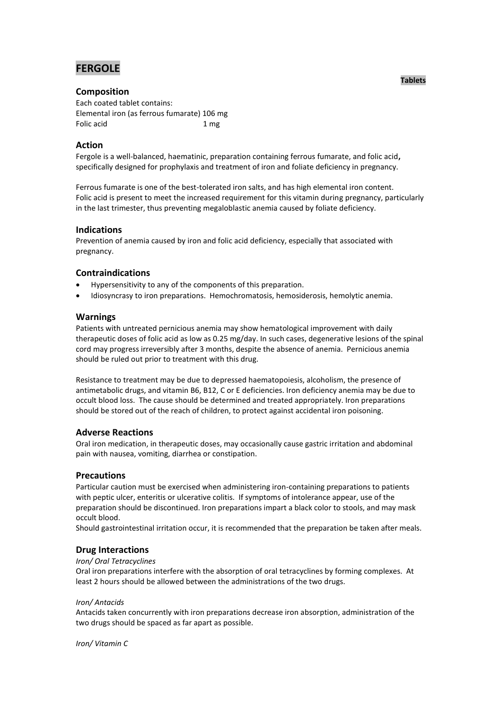# **FERGOLE**

# **Composition**

Each coated tablet contains: Elemental iron (as ferrous fumarate) 106 mg Folic acid 1 mg

# **Action**

Fergole is a well-balanced, haematinic, preparation containing ferrous fumarate, and folic acid**,**  specifically designed for prophylaxis and treatment of iron and foliate deficiency in pregnancy.

Ferrous fumarate is one of the best-tolerated iron salts, and has high elemental iron content. Folic acid is present to meet the increased requirement for this vitamin during pregnancy, particularly in the last trimester, thus preventing megaloblastic anemia caused by foliate deficiency.

# **Indications**

Prevention of anemia caused by iron and folic acid deficiency, especially that associated with pregnancy.

# **Contraindications**

- Hypersensitivity to any of the components of this preparation.
- Idiosyncrasy to iron preparations. Hemochromatosis, hemosiderosis, hemolytic anemia.

## **Warnings**

Patients with untreated pernicious anemia may show hematological improvement with daily therapeutic doses of folic acid as low as 0.25 mg/day. In such cases, degenerative lesions of the spinal cord may progress irreversibly after 3 months, despite the absence of anemia. Pernicious anemia should be ruled out prior to treatment with this drug.

Resistance to treatment may be due to depressed haematopoiesis, alcoholism, the presence of antimetabolic drugs, and vitamin B6, B12, C or E deficiencies. Iron deficiency anemia may be due to occult blood loss. The cause should be determined and treated appropriately. Iron preparations should be stored out of the reach of children, to protect against accidental iron poisoning.

## **Adverse Reactions**

Oral iron medication, in therapeutic doses, may occasionally cause gastric irritation and abdominal pain with nausea, vomiting, diarrhea or constipation.

## **Precautions**

Particular caution must be exercised when administering iron-containing preparations to patients with peptic ulcer, enteritis or ulcerative colitis. If symptoms of intolerance appear, use of the preparation should be discontinued. Iron preparations impart a black color to stools, and may mask occult blood.

Should gastrointestinal irritation occur, it is recommended that the preparation be taken after meals.

## **Drug Interactions**

### *Iron/ Oral Tetracyclines*

Oral iron preparations interfere with the absorption of oral tetracyclines by forming complexes. At least 2 hours should be allowed between the administrations of the two drugs.

### *Iron/ Antacids*

Antacids taken concurrently with iron preparations decrease iron absorption, administration of the two drugs should be spaced as far apart as possible.

*Iron/ Vitamin C*

### **Tablets**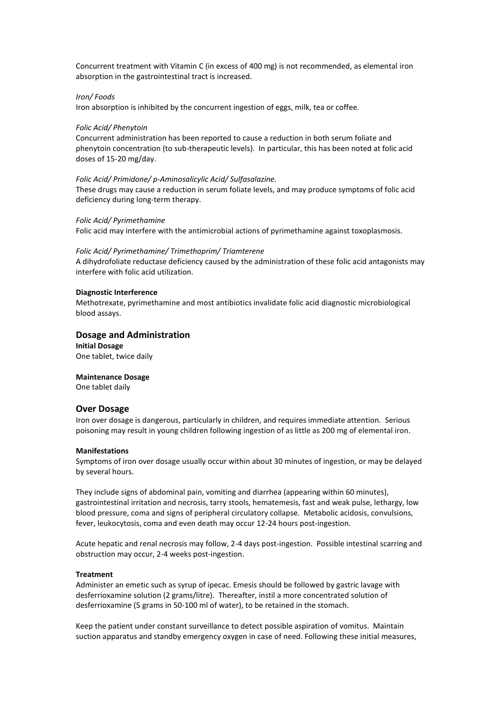Concurrent treatment with Vitamin C (in excess of 400 mg) is not recommended, as elemental iron absorption in the gastrointestinal tract is increased.

#### *Iron/ Foods*

Iron absorption is inhibited by the concurrent ingestion of eggs, milk, tea or coffee.

#### *Folic Acid/ Phenytoin*

Concurrent administration has been reported to cause a reduction in both serum foliate and phenytoin concentration (to sub-therapeutic levels). In particular, this has been noted at folic acid doses of 15-20 mg/day.

#### *Folic Acid/ Primidone/ p-Aminosalicylic Acid/ Sulfasalazine.*

These drugs may cause a reduction in serum foliate levels, and may produce symptoms of folic acid deficiency during long-term therapy.

#### *Folic Acid/ Pyrimethamine*

Folic acid may interfere with the antimicrobial actions of pyrimethamine against toxoplasmosis.

#### *Folic Acid/ Pyrimethamine/ Trimethoprim/ Triamterene*

A dihydrofoliate reductase deficiency caused by the administration of these folic acid antagonists may interfere with folic acid utilization.

#### **Diagnostic Interference**

Methotrexate, pyrimethamine and most antibiotics invalidate folic acid diagnostic microbiological blood assays.

#### **Dosage and Administration**

**Initial Dosage** One tablet, twice daily

#### **Maintenance Dosage**

One tablet daily

### **Over Dosage**

Iron over dosage is dangerous, particularly in children, and requires immediate attention. Serious poisoning may result in young children following ingestion of as little as 200 mg of elemental iron.

#### **Manifestations**

Symptoms of iron over dosage usually occur within about 30 minutes of ingestion, or may be delayed by several hours.

They include signs of abdominal pain, vomiting and diarrhea (appearing within 60 minutes), gastrointestinal irritation and necrosis, tarry stools, hematemesis, fast and weak pulse, lethargy, low blood pressure, coma and signs of peripheral circulatory collapse. Metabolic acidosis, convulsions, fever, leukocytosis, coma and even death may occur 12-24 hours post-ingestion.

Acute hepatic and renal necrosis may follow, 2-4 days post-ingestion. Possible intestinal scarring and obstruction may occur, 2-4 weeks post-ingestion.

#### **Treatment**

Administer an emetic such as syrup of ipecac. Emesis should be followed by gastric lavage with desferrioxamine solution (2 grams/litre). Thereafter, instil a more concentrated solution of desferrioxamine (5 grams in 50-100 ml of water), to be retained in the stomach.

Keep the patient under constant surveillance to detect possible aspiration of vomitus. Maintain suction apparatus and standby emergency oxygen in case of need. Following these initial measures,